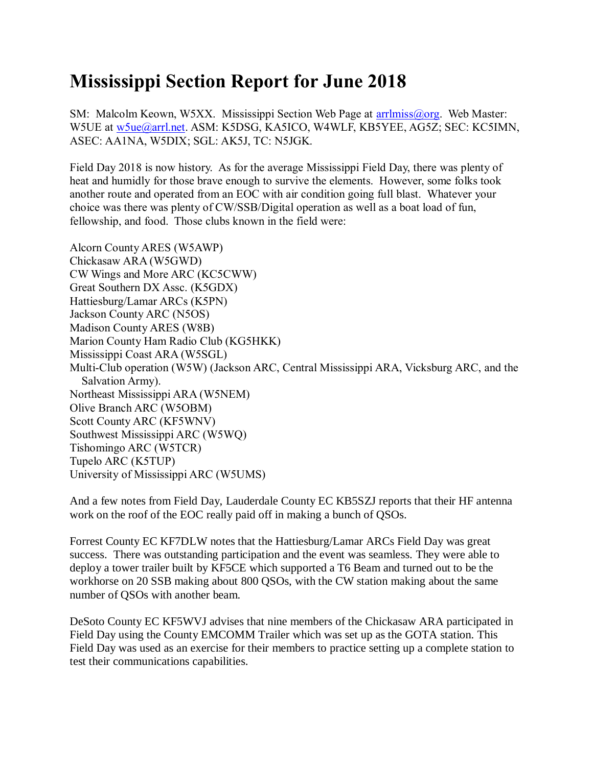## **Mississippi Section Report for June 2018**

SM: Malcolm Keown, W5XX. Mississippi Section Web Page at [arrlmiss@org.](mailto:arrlmiss@org) Web Master: W5UE at w<sub>5ue</sub>@arrl.net. ASM: K5DSG, KA5ICO, W4WLF, KB5YEE, AG5Z; SEC: KC5IMN, ASEC: AA1NA, W5DIX; SGL: AK5J, TC: N5JGK.

Field Day 2018 is now history. As for the average Mississippi Field Day, there was plenty of heat and humidly for those brave enough to survive the elements. However, some folks took another route and operated from an EOC with air condition going full blast. Whatever your choice was there was plenty of CW/SSB/Digital operation as well as a boat load of fun, fellowship, and food. Those clubs known in the field were:

Alcorn County ARES (W5AWP) Chickasaw ARA (W5GWD) CW Wings and More ARC (KC5CWW) Great Southern DX Assc. (K5GDX) Hattiesburg/Lamar ARCs (K5PN) Jackson County ARC (N5OS) Madison County ARES (W8B) Marion County Ham Radio Club (KG5HKK) Mississippi Coast ARA (W5SGL) Multi-Club operation (W5W) (Jackson ARC, Central Mississippi ARA, Vicksburg ARC, and the Salvation Army). Northeast Mississippi ARA (W5NEM) Olive Branch ARC (W5OBM) Scott County ARC (KF5WNV) Southwest Mississippi ARC (W5WQ) Tishomingo ARC (W5TCR) Tupelo ARC (K5TUP) University of Mississippi ARC (W5UMS)

And a few notes from Field Day, Lauderdale County EC KB5SZJ reports that their HF antenna work on the roof of the EOC really paid off in making a bunch of QSOs.

Forrest County EC KF7DLW notes that the Hattiesburg/Lamar ARCs Field Day was great success. There was outstanding participation and the event was seamless. They were able to deploy a tower trailer built by KF5CE which supported a T6 Beam and turned out to be the workhorse on 20 SSB making about 800 QSOs, with the CW station making about the same number of QSOs with another beam.

DeSoto County EC KF5WVJ advises that nine members of the Chickasaw ARA participated in Field Day using the County EMCOMM Trailer which was set up as the GOTA station. This Field Day was used as an exercise for their members to practice setting up a complete station to test their communications capabilities.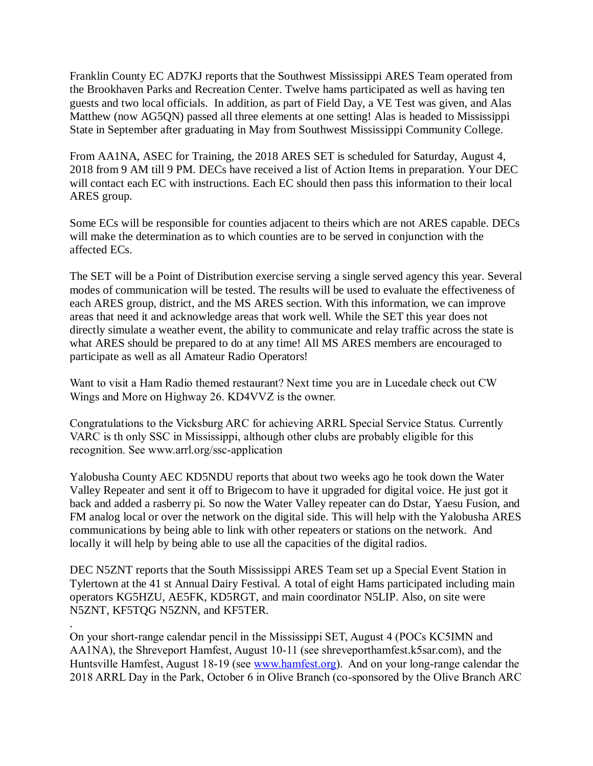Franklin County EC AD7KJ reports that the Southwest Mississippi ARES Team operated from the Brookhaven Parks and Recreation Center. Twelve hams participated as well as having ten guests and two local officials. In addition, as part of Field Day, a VE Test was given, and Alas Matthew (now AG5QN) passed all three elements at one setting! Alas is headed to Mississippi State in September after graduating in May from Southwest Mississippi Community College.

From AA1NA, ASEC for Training, the 2018 ARES SET is scheduled for Saturday, August 4, 2018 from 9 AM till 9 PM. DECs have received a list of Action Items in preparation. Your DEC will contact each EC with instructions. Each EC should then pass this information to their local ARES group.

Some ECs will be responsible for counties adjacent to theirs which are not ARES capable. DECs will make the determination as to which counties are to be served in conjunction with the affected ECs.

The SET will be a Point of Distribution exercise serving a single served agency this year. Several modes of communication will be tested. The results will be used to evaluate the effectiveness of each ARES group, district, and the MS ARES section. With this information, we can improve areas that need it and acknowledge areas that work well. While the SET this year does not directly simulate a weather event, the ability to communicate and relay traffic across the state is what ARES should be prepared to do at any time! All MS ARES members are encouraged to participate as well as all Amateur Radio Operators!

Want to visit a Ham Radio themed restaurant? Next time you are in Lucedale check out CW Wings and More on Highway 26. KD4VVZ is the owner.

Congratulations to the Vicksburg ARC for achieving ARRL Special Service Status. Currently VARC is th only SSC in Mississippi, although other clubs are probably eligible for this recognition. See www.arrl.org/ssc-application

Yalobusha County AEC KD5NDU reports that about two weeks ago he took down the Water Valley Repeater and sent it off to Brigecom to have it upgraded for digital voice. He just got it back and added a rasberry pi. So now the Water Valley repeater can do Dstar, Yaesu Fusion, and FM analog local or over the network on the digital side. This will help with the Yalobusha ARES communications by being able to link with other repeaters or stations on the network. And locally it will help by being able to use all the capacities of the digital radios.

DEC N5ZNT reports that the South Mississippi ARES Team set up a Special Event Station in Tylertown at the 41 st Annual Dairy Festival. A total of eight Hams participated including main operators KG5HZU, AE5FK, KD5RGT, and main coordinator N5LIP. Also, on site were N5ZNT, KF5TQG N5ZNN, and KF5TER.

. On your short-range calendar pencil in the Mississippi SET, August 4 (POCs KC5IMN and AA1NA), the Shreveport Hamfest, August 10-11 (see shreveporthamfest.k5sar.com), and the Huntsville Hamfest, August 18-19 (see [www.hamfest.org\)](http://www.hamfest.org/). And on your long-range calendar the 2018 ARRL Day in the Park, October 6 in Olive Branch (co-sponsored by the Olive Branch ARC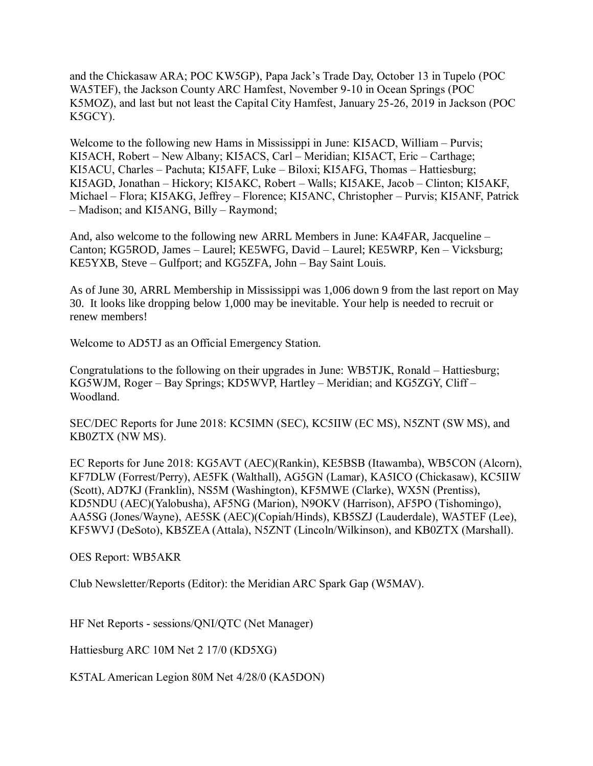and the Chickasaw ARA; POC KW5GP), Papa Jack's Trade Day, October 13 in Tupelo (POC WA5TEF), the Jackson County ARC Hamfest, November 9-10 in Ocean Springs (POC K5MOZ), and last but not least the Capital City Hamfest, January 25-26, 2019 in Jackson (POC K5GCY).

Welcome to the following new Hams in Mississippi in June: KI5ACD, William – Purvis; KI5ACH, Robert – New Albany; KI5ACS, Carl – Meridian; KI5ACT, Eric – Carthage; KI5ACU, Charles – Pachuta; KI5AFF, Luke – Biloxi; KI5AFG, Thomas – Hattiesburg; KI5AGD, Jonathan – Hickory; KI5AKC, Robert – Walls; KI5AKE, Jacob – Clinton; KI5AKF, Michael – Flora; KI5AKG, Jeffrey – Florence; KI5ANC, Christopher – Purvis; KI5ANF, Patrick – Madison; and KI5ANG, Billy – Raymond;

And, also welcome to the following new ARRL Members in June: KA4FAR, Jacqueline – Canton; KG5ROD, James – Laurel; KE5WFG, David – Laurel; KE5WRP, Ken – Vicksburg; KE5YXB, Steve – Gulfport; and KG5ZFA, John – Bay Saint Louis.

As of June 30, ARRL Membership in Mississippi was 1,006 down 9 from the last report on May 30. It looks like dropping below 1,000 may be inevitable. Your help is needed to recruit or renew members!

Welcome to AD5TJ as an Official Emergency Station.

Congratulations to the following on their upgrades in June: WB5TJK, Ronald – Hattiesburg; KG5WJM, Roger – Bay Springs; KD5WVP, Hartley – Meridian; and KG5ZGY, Cliff – Woodland.

SEC/DEC Reports for June 2018: KC5IMN (SEC), KC5IIW (EC MS), N5ZNT (SW MS), and KB0ZTX (NW MS).

EC Reports for June 2018: KG5AVT (AEC)(Rankin), KE5BSB (Itawamba), WB5CON (Alcorn), KF7DLW (Forrest/Perry), AE5FK (Walthall), AG5GN (Lamar), KA5ICO (Chickasaw), KC5IIW (Scott), AD7KJ (Franklin), NS5M (Washington), KF5MWE (Clarke), WX5N (Prentiss), KD5NDU (AEC)(Yalobusha), AF5NG (Marion), N9OKV (Harrison), AF5PO (Tishomingo), AA5SG (Jones/Wayne), AE5SK (AEC)(Copiah/Hinds), KB5SZJ (Lauderdale), WA5TEF (Lee), KF5WVJ (DeSoto), KB5ZEA (Attala), N5ZNT (Lincoln/Wilkinson), and KB0ZTX (Marshall).

OES Report: WB5AKR

Club Newsletter/Reports (Editor): the Meridian ARC Spark Gap (W5MAV).

HF Net Reports - sessions/QNI/QTC (Net Manager)

Hattiesburg ARC 10M Net 2 17/0 (KD5XG)

K5TAL American Legion 80M Net 4/28/0 (KA5DON)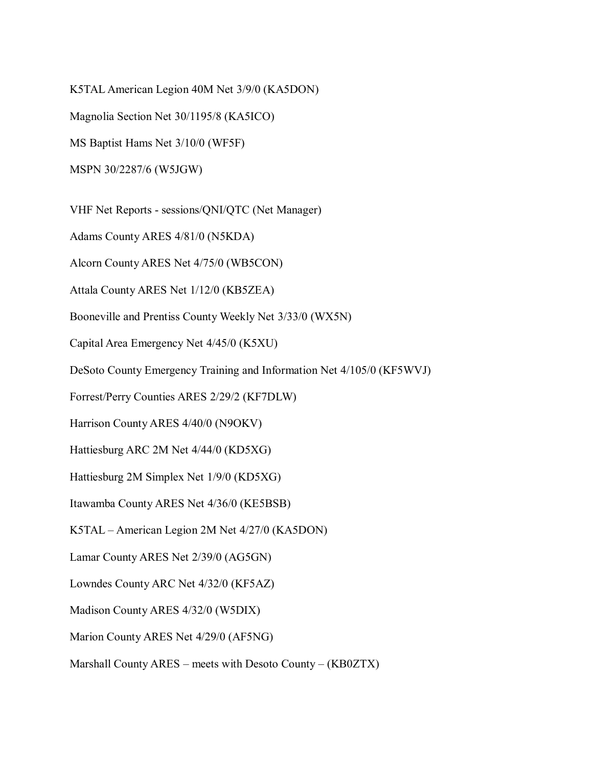K5TAL American Legion 40M Net 3/9/0 (KA5DON)

Magnolia Section Net 30/1195/8 (KA5ICO)

MS Baptist Hams Net 3/10/0 (WF5F)

MSPN 30/2287/6 (W5JGW)

VHF Net Reports - sessions/QNI/QTC (Net Manager)

Adams County ARES 4/81/0 (N5KDA)

Alcorn County ARES Net 4/75/0 (WB5CON)

Attala County ARES Net 1/12/0 (KB5ZEA)

Booneville and Prentiss County Weekly Net 3/33/0 (WX5N)

Capital Area Emergency Net 4/45/0 (K5XU)

DeSoto County Emergency Training and Information Net 4/105/0 (KF5WVJ)

Forrest/Perry Counties ARES 2/29/2 (KF7DLW)

Harrison County ARES 4/40/0 (N9OKV)

Hattiesburg ARC 2M Net 4/44/0 (KD5XG)

Hattiesburg 2M Simplex Net 1/9/0 (KD5XG)

Itawamba County ARES Net 4/36/0 (KE5BSB)

K5TAL – American Legion 2M Net 4/27/0 (KA5DON)

Lamar County ARES Net 2/39/0 (AG5GN)

Lowndes County ARC Net 4/32/0 (KF5AZ)

Madison County ARES 4/32/0 (W5DIX)

Marion County ARES Net 4/29/0 (AF5NG)

Marshall County ARES – meets with Desoto County – (KB0ZTX)